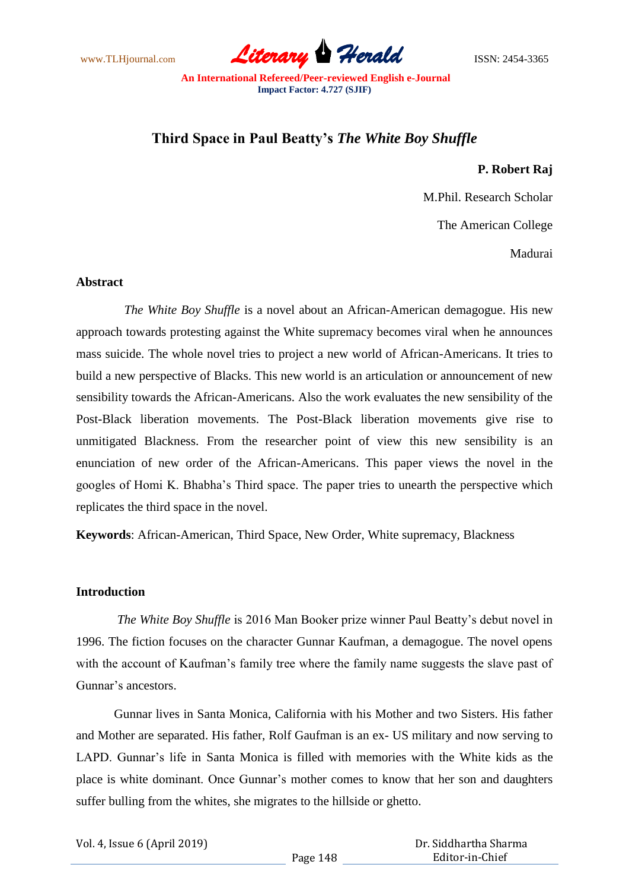www.TLHjournal.com *Literary Herald*ISSN: 2454-3365

# **Third Space in Paul Beatty's** *The White Boy Shuffle*

## **P. Robert Raj**

M.Phil. Research Scholar

The American College

Madurai

### **Abstract**

*The White Boy Shuffle* is a novel about an African-American demagogue. His new approach towards protesting against the White supremacy becomes viral when he announces mass suicide. The whole novel tries to project a new world of African-Americans. It tries to build a new perspective of Blacks. This new world is an articulation or announcement of new sensibility towards the African-Americans. Also the work evaluates the new sensibility of the Post-Black liberation movements. The Post-Black liberation movements give rise to unmitigated Blackness. From the researcher point of view this new sensibility is an enunciation of new order of the African-Americans. This paper views the novel in the googles of Homi K. Bhabha"s Third space. The paper tries to unearth the perspective which replicates the third space in the novel.

**Keywords**: African-American, Third Space, New Order, White supremacy, Blackness

## **Introduction**

*The White Boy Shuffle* is 2016 Man Booker prize winner Paul Beatty"s debut novel in 1996. The fiction focuses on the character Gunnar Kaufman, a demagogue. The novel opens with the account of Kaufman's family tree where the family name suggests the slave past of Gunnar's ancestors.

Gunnar lives in Santa Monica, California with his Mother and two Sisters. His father and Mother are separated. His father, Rolf Gaufman is an ex- US military and now serving to LAPD. Gunnar"s life in Santa Monica is filled with memories with the White kids as the place is white dominant. Once Gunnar"s mother comes to know that her son and daughters suffer bulling from the whites, she migrates to the hillside or ghetto.

Vol. 4, Issue 6 (April 2019)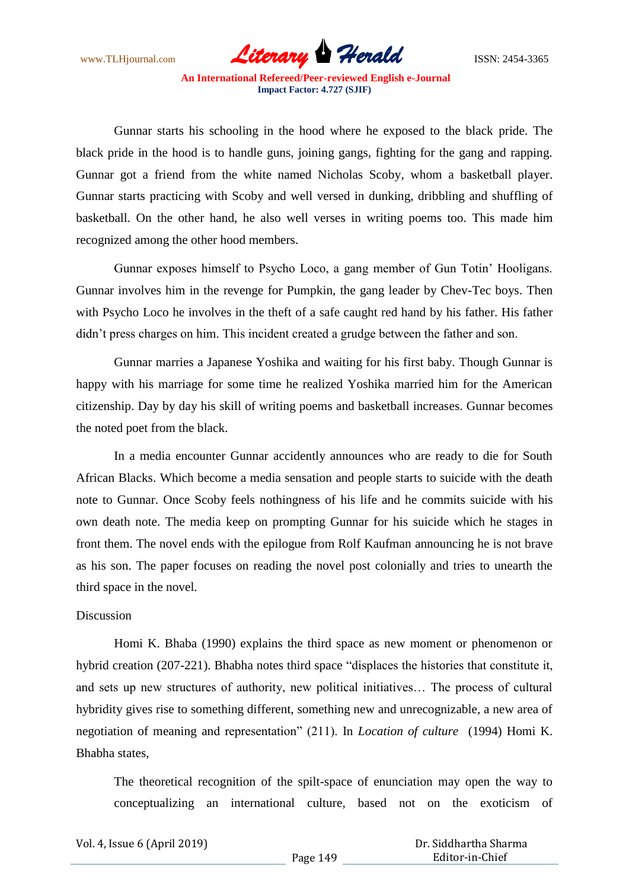www.TLHjournal.com *Literary Herald*ISSN: 2454-3365

Gunnar starts his schooling in the hood where he exposed to the black pride. The black pride in the hood is to handle guns, joining gangs, fighting for the gang and rapping. Gunnar got a friend from the white named Nicholas Scoby, whom a basketball player. Gunnar starts practicing with Scoby and well versed in dunking, dribbling and shuffling of basketball. On the other hand, he also well verses in writing poems too. This made him recognized among the other hood members.

Gunnar exposes himself to Psycho Loco, a gang member of Gun Totin" Hooligans. Gunnar involves him in the revenge for Pumpkin, the gang leader by Chev-Tec boys. Then with Psycho Loco he involves in the theft of a safe caught red hand by his father. His father didn"t press charges on him. This incident created a grudge between the father and son.

Gunnar marries a Japanese Yoshika and waiting for his first baby. Though Gunnar is happy with his marriage for some time he realized Yoshika married him for the American citizenship. Day by day his skill of writing poems and basketball increases. Gunnar becomes the noted poet from the black.

In a media encounter Gunnar accidently announces who are ready to die for South African Blacks. Which become a media sensation and people starts to suicide with the death note to Gunnar. Once Scoby feels nothingness of his life and he commits suicide with his own death note. The media keep on prompting Gunnar for his suicide which he stages in front them. The novel ends with the epilogue from Rolf Kaufman announcing he is not brave as his son. The paper focuses on reading the novel post colonially and tries to unearth the third space in the novel.

#### **Discussion**

Homi K. Bhaba (1990) explains the third space as new moment or phenomenon or hybrid creation (207-221). Bhabha notes third space "displaces the histories that constitute it, and sets up new structures of authority, new political initiatives… The process of cultural hybridity gives rise to something different, something new and unrecognizable, a new area of negotiation of meaning and representation" (211). In *Location of culture* (1994) Homi K. Bhabha states,

The theoretical recognition of the spilt-space of enunciation may open the way to conceptualizing an international culture, based not on the exoticism of

| Vol. 4, Issue 6 (April 2019) |  |  |  |
|------------------------------|--|--|--|
|------------------------------|--|--|--|

 Dr. Siddhartha Sharma Editor-in-Chief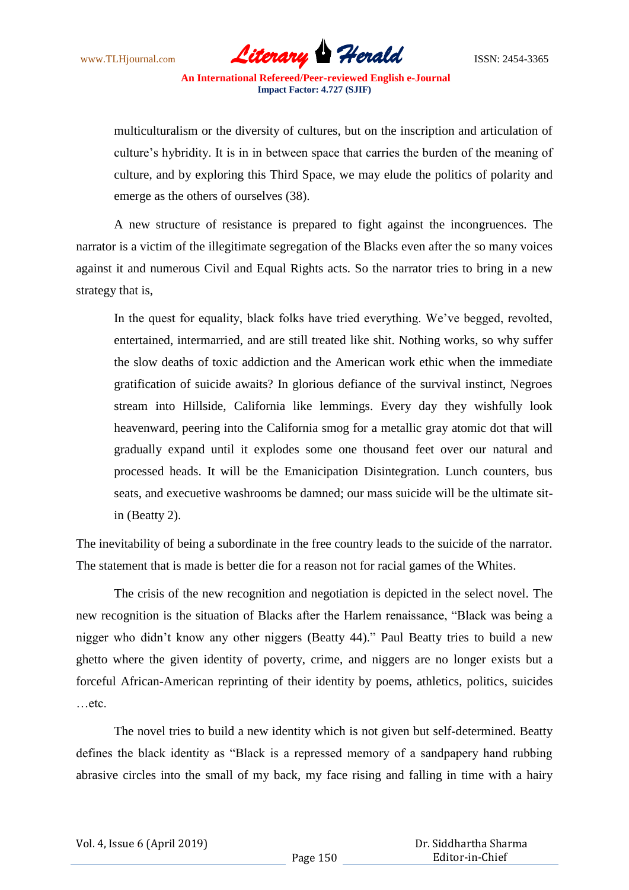www.TLHjournal.com *Literary Herald*ISSN: 2454-3365

multiculturalism or the diversity of cultures, but on the inscription and articulation of culture"s hybridity. It is in in between space that carries the burden of the meaning of culture, and by exploring this Third Space, we may elude the politics of polarity and emerge as the others of ourselves (38).

A new structure of resistance is prepared to fight against the incongruences. The narrator is a victim of the illegitimate segregation of the Blacks even after the so many voices against it and numerous Civil and Equal Rights acts. So the narrator tries to bring in a new strategy that is,

In the quest for equality, black folks have tried everything. We"ve begged, revolted, entertained, intermarried, and are still treated like shit. Nothing works, so why suffer the slow deaths of toxic addiction and the American work ethic when the immediate gratification of suicide awaits? In glorious defiance of the survival instinct, Negroes stream into Hillside, California like lemmings. Every day they wishfully look heavenward, peering into the California smog for a metallic gray atomic dot that will gradually expand until it explodes some one thousand feet over our natural and processed heads. It will be the Emanicipation Disintegration. Lunch counters, bus seats, and execuetive washrooms be damned; our mass suicide will be the ultimate sitin (Beatty 2).

The inevitability of being a subordinate in the free country leads to the suicide of the narrator. The statement that is made is better die for a reason not for racial games of the Whites.

The crisis of the new recognition and negotiation is depicted in the select novel. The new recognition is the situation of Blacks after the Harlem renaissance, "Black was being a nigger who didn"t know any other niggers (Beatty 44)." Paul Beatty tries to build a new ghetto where the given identity of poverty, crime, and niggers are no longer exists but a forceful African-American reprinting of their identity by poems, athletics, politics, suicides …etc.

The novel tries to build a new identity which is not given but self-determined. Beatty defines the black identity as "Black is a repressed memory of a sandpapery hand rubbing abrasive circles into the small of my back, my face rising and falling in time with a hairy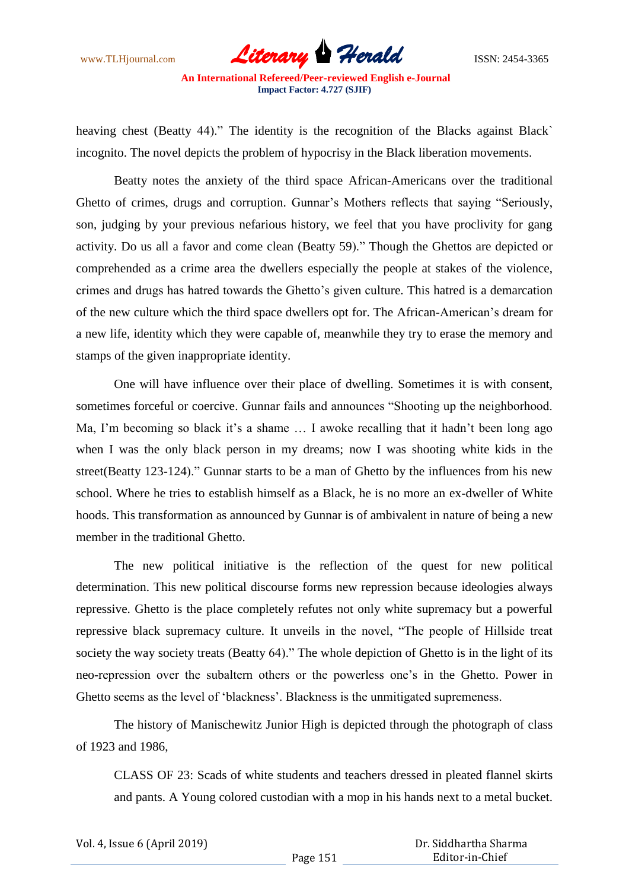www.TLHjournal.com *Literary Herald*ISSN: 2454-3365

heaving chest (Beatty 44)." The identity is the recognition of the Blacks against Black` incognito. The novel depicts the problem of hypocrisy in the Black liberation movements.

Beatty notes the anxiety of the third space African-Americans over the traditional Ghetto of crimes, drugs and corruption. Gunnar"s Mothers reflects that saying "Seriously, son, judging by your previous nefarious history, we feel that you have proclivity for gang activity. Do us all a favor and come clean (Beatty 59)." Though the Ghettos are depicted or comprehended as a crime area the dwellers especially the people at stakes of the violence, crimes and drugs has hatred towards the Ghetto"s given culture. This hatred is a demarcation of the new culture which the third space dwellers opt for. The African-American"s dream for a new life, identity which they were capable of, meanwhile they try to erase the memory and stamps of the given inappropriate identity.

One will have influence over their place of dwelling. Sometimes it is with consent, sometimes forceful or coercive. Gunnar fails and announces "Shooting up the neighborhood. Ma, I'm becoming so black it's a shame ... I awoke recalling that it hadn't been long ago when I was the only black person in my dreams; now I was shooting white kids in the street(Beatty 123-124)." Gunnar starts to be a man of Ghetto by the influences from his new school. Where he tries to establish himself as a Black, he is no more an ex-dweller of White hoods. This transformation as announced by Gunnar is of ambivalent in nature of being a new member in the traditional Ghetto.

The new political initiative is the reflection of the quest for new political determination. This new political discourse forms new repression because ideologies always repressive. Ghetto is the place completely refutes not only white supremacy but a powerful repressive black supremacy culture. It unveils in the novel, "The people of Hillside treat society the way society treats (Beatty 64)." The whole depiction of Ghetto is in the light of its neo-repression over the subaltern others or the powerless one"s in the Ghetto. Power in Ghetto seems as the level of 'blackness'. Blackness is the unmitigated supremeness.

The history of Manischewitz Junior High is depicted through the photograph of class of 1923 and 1986,

CLASS OF 23: Scads of white students and teachers dressed in pleated flannel skirts and pants. A Young colored custodian with a mop in his hands next to a metal bucket.

 Dr. Siddhartha Sharma Editor-in-Chief